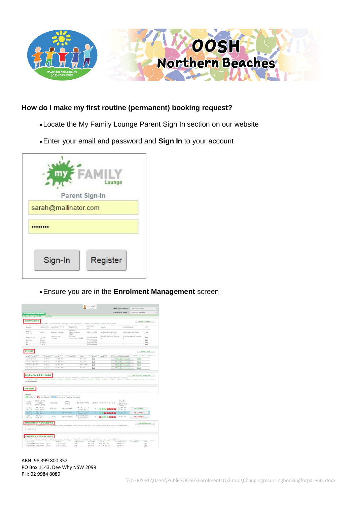

## **How do I make my first routine (permanent) booking request?**

- Locate the My Family Lounge Parent Sign In section on our website
- Enter your email and password and **Sign In** to your account

|                      | Lounge         |
|----------------------|----------------|
|                      | Parent Sign-In |
| sarah@mailinator.com |                |
|                      |                |
| Sign-In              | Register       |

Ensure you are in the **Enrolment Management** screen

|                                                                                                                                                                                                                                                                                                   |                                  |                      |                            |                                    |                  |                                                                                                 | Child Care Company                         | QK Support DB        |                    |
|---------------------------------------------------------------------------------------------------------------------------------------------------------------------------------------------------------------------------------------------------------------------------------------------------|----------------------------------|----------------------|----------------------------|------------------------------------|------------------|-------------------------------------------------------------------------------------------------|--------------------------------------------|----------------------|--------------------|
| <b>Enrolment Management</b><br>Editing Family: OKEEFE, Joshua                                                                                                                                                                                                                                     |                                  |                      |                            |                                    |                  |                                                                                                 | Logged in for family:                      | OKEEFE, Joshua       |                    |
| <b>CONTACTS</b>                                                                                                                                                                                                                                                                                   |                                  |                      |                            |                                    |                  |                                                                                                 |                                            |                      |                    |
|                                                                                                                                                                                                                                                                                                   |                                  |                      |                            |                                    |                  | FAMILY contact must be entered as the main point of contact. Additional contacts are optional.  |                                            |                      | <b>Add Contact</b> |
| NAME                                                                                                                                                                                                                                                                                              | RELATION                         | CONTACT TYPE         |                            | <b>ADDRESS</b>                     | CONTACT<br>NO    | <b>EMAIL</b>                                                                                    | <b>LIRER NAME</b>                          |                      | EDIT               |
| Joshin<br>Okeefe                                                                                                                                                                                                                                                                                  | Father                           | Primary Contact      | 11 hill st<br>4123         | murrarie QLD                       | 0432569870       | jok@mailinator.com                                                                              |                                            | jok@mailinatot.com   | Edit               |
| lisa okeete                                                                                                                                                                                                                                                                                       | Mother                           | Secondary            | 11 Nill st                 |                                    | 0435698510       | lokeefe@qktech.com.a                                                                            |                                            | lokeefe@qktech.com.a | Edit               |
| tost test                                                                                                                                                                                                                                                                                         | Doctor                           | Contact              |                            | murrarie gld 4123                  | 0731555879       | $\overline{u}$                                                                                  | $\alpha$                                   |                      | Edit               |
| $\overline{1}$                                                                                                                                                                                                                                                                                    | Brother                          |                      |                            |                                    | 0436966666       |                                                                                                 |                                            |                      | Edit               |
| $\mathbf{1}$                                                                                                                                                                                                                                                                                      | Friend                           |                      |                            |                                    | 0435698885       |                                                                                                 |                                            |                      | Edit               |
| CHILD<br>CHILD NAME                                                                                                                                                                                                                                                                               | <b>STATUS</b>                    | pos                  | Due Date                   | AGE                                | EDIT             | DELETE                                                                                          | Enrolment information                      |                      | Add Child          |
| Jane Okeete                                                                                                                                                                                                                                                                                       | Active                           | $15 - 08 - 16$       | ٠                          | 0Y 10M                             | Edit             | ٠                                                                                               | <b>View Enrolment</b>                      | Print                |                    |
| <b>Joshie Okeante</b>                                                                                                                                                                                                                                                                             | Artive                           | $25 - 07 - 10$       | $\sim$                     | <b>BY 1155</b>                     | Edit             | $\sim$                                                                                          | View Enrolment                             | Print                |                    |
| Joshua Okeeta                                                                                                                                                                                                                                                                                     | Active                           | 26-07-00             | $\sim$                     | 16Y 11M                            | Edit             | $\sim$                                                                                          | <b>View Enrolment</b>                      | Print                |                    |
| Josh Chevele                                                                                                                                                                                                                                                                                      | Artive                           | $22 - 04 - 10$       | ۰                          | <b>TV 2M</b>                       | Edit             | ÷                                                                                               | View Enrolment                             | Print                |                    |
|                                                                                                                                                                                                                                                                                                   |                                  |                      |                            |                                    |                  | ailable for the enrotled children. (The following table shows the summary for the next 30 days) |                                            | Add Casual Booking   |                    |
|                                                                                                                                                                                                                                                                                                   |                                  |                      |                            |                                    |                  |                                                                                                 |                                            |                      |                    |
|                                                                                                                                                                                                                                                                                                   |                                  |                      |                            |                                    |                  |                                                                                                 |                                            |                      |                    |
|                                                                                                                                                                                                                                                                                                   | Offered Co Not Offered           |                      | Change to Existing Booking |                                    |                  |                                                                                                 |                                            |                      |                    |
|                                                                                                                                                                                                                                                                                                   | START DATE<br>RECO<br>START DATE | <b>STATUS</b>        | CARE<br><b>TYPE</b>        | CENTRE NAME                        | <b>DAYS</b>      | M T W T F S S                                                                                   | OFFER<br>EXPIRY<br><b>ACCEPTED</b><br>DATE |                      |                    |
|                                                                                                                                                                                                                                                                                                   | 30-08-16<br>S:22-08-16           | Accepted             | LDC/KINPRE                 | "GK Preschool<br>Centre-Dee        | $\overline{z}$   | 000000                                                                                          | 25-09-16<br>30-08-16                       | View Offer           |                    |
|                                                                                                                                                                                                                                                                                                   | 17-10-16<br>$0.19 - 0.9 - 16$    | Open                 | <b>LDC/KINPRE</b>          | <b>"GK Preschool</b><br>Contra-Dao |                  | <b>UL GOOGG</b>                                                                                 | 09-30-16                                   | <b>View Offer</b>    |                    |
|                                                                                                                                                                                                                                                                                                   | $15 - 05 - 17$<br>8:15-05-17     | Open                 | <b>LDC/KINPRE</b>          | Big Giraffe Child<br>Care Centre   | $\overline{a}$   | 800088                                                                                          | $20 - 04 - 17$                             | View Offer           |                    |
|                                                                                                                                                                                                                                                                                                   |                                  |                      |                            |                                    |                  | ge current permanent bookings are displayed here. These requests are yet to be approved.        |                                            |                      | <b>New Request</b> |
|                                                                                                                                                                                                                                                                                                   |                                  |                      |                            |                                    |                  | forthightly bookings are displayed here. To request a change in booking press the edit option.  |                                            |                      |                    |
| <b>CASUAL BOOKINGS</b><br>No records from t<br>OFFER<br>Legend<br>CHILD<br>NAME<br><b>Joychim</b><br>Okinofe<br>Joshie<br>Okoota<br>Josh<br>Otionfa<br><b>BOOKING REQUESTS</b><br>No records found<br><b>CURRENT BOOKINGS</b><br><b>Current</b> De<br><b>REFRACE</b><br>OKeYLM Demo centre - Dave |                                  | ROOM<br>Junior Kindy |                            | CARE TYPE<br>LDC                   | STATUS<br>Placed | CHILD<br>Jane Okeele                                                                            | START DATE<br>1/05/2017                    | END DATE             | EDIT<br>Edit       |

ABN: 98 399 800 352 PO Box 1143, Dee Why NSW 2099 PH: 02 9984 8089